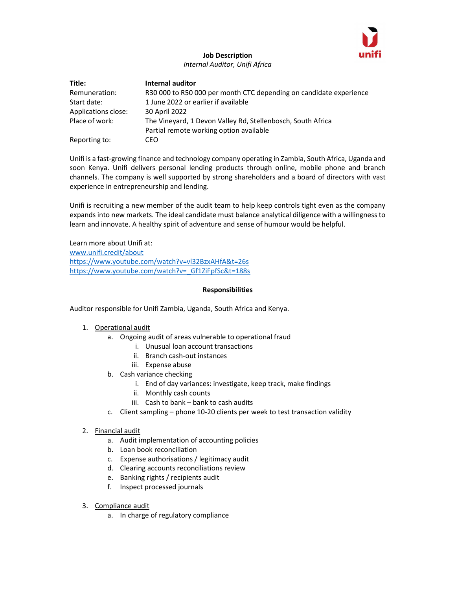

## Job Description Internal Auditor, Unifi Africa

| Title:              | Internal auditor                                                   |
|---------------------|--------------------------------------------------------------------|
| Remuneration:       | R30 000 to R50 000 per month CTC depending on candidate experience |
| Start date:         | 1 June 2022 or earlier if available                                |
| Applications close: | 30 April 2022                                                      |
| Place of work:      | The Vineyard, 1 Devon Valley Rd, Stellenbosch, South Africa        |
|                     | Partial remote working option available                            |
| Reporting to:       | CEO                                                                |

Unifi is a fast-growing finance and technology company operating in Zambia, South Africa, Uganda and soon Kenya. Unifi delivers personal lending products through online, mobile phone and branch channels. The company is well supported by strong shareholders and a board of directors with vast experience in entrepreneurship and lending.

Unifi is recruiting a new member of the audit team to help keep controls tight even as the company expands into new markets. The ideal candidate must balance analytical diligence with a willingness to learn and innovate. A healthy spirit of adventure and sense of humour would be helpful.

Learn more about Unifi at: www.unifi.credit/about https://www.youtube.com/watch?v=vl32BzxAHfA&t=26s https://www.youtube.com/watch?v=\_Gf1ZiFpfSc&t=188s

## Responsibilities

Auditor responsible for Unifi Zambia, Uganda, South Africa and Kenya.

## 1. Operational audit

- a. Ongoing audit of areas vulnerable to operational fraud
	- i. Unusual loan account transactions
	- ii. Branch cash-out instances
	- iii. Expense abuse
- b. Cash variance checking
	- i. End of day variances: investigate, keep track, make findings
	- ii. Monthly cash counts
	- iii. Cash to bank bank to cash audits
- c. Client sampling phone 10-20 clients per week to test transaction validity
- 2. Financial audit
	- a. Audit implementation of accounting policies
	- b. Loan book reconciliation
	- c. Expense authorisations / legitimacy audit
	- d. Clearing accounts reconciliations review
	- e. Banking rights / recipients audit
	- f. Inspect processed journals
- 3. Compliance audit
	- a. In charge of regulatory compliance